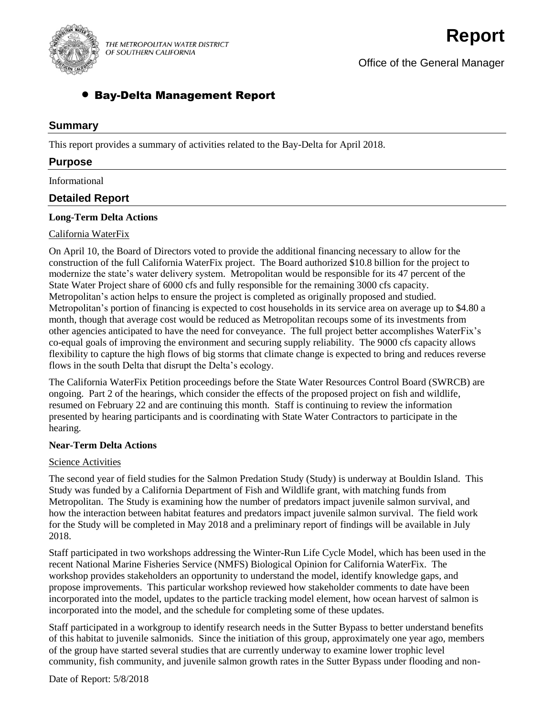

THE METROPOLITAN WATER DISTRICT OF SOUTHERN CALIFORNIA

Office of the General Manager

# Bay-Delta Management Report

## **Summary**

This report provides a summary of activities related to the Bay-Delta for April 2018.

## **Purpose**

Informational

## **Detailed Report**

### **Long-Term Delta Actions**

### California WaterFix

On April 10, the Board of Directors voted to provide the additional financing necessary to allow for the construction of the full California WaterFix project. The Board authorized \$10.8 billion for the project to modernize the state's water delivery system. Metropolitan would be responsible for its 47 percent of the State Water Project share of 6000 cfs and fully responsible for the remaining 3000 cfs capacity. Metropolitan's action helps to ensure the project is completed as originally proposed and studied. Metropolitan's portion of financing is expected to cost households in its service area on average up to \$4.80 a month, though that average cost would be reduced as Metropolitan recoups some of its investments from other agencies anticipated to have the need for conveyance. The full project better accomplishes WaterFix's co-equal goals of improving the environment and securing supply reliability. The 9000 cfs capacity allows flexibility to capture the high flows of big storms that climate change is expected to bring and reduces reverse flows in the south Delta that disrupt the Delta's ecology.

The California WaterFix Petition proceedings before the State Water Resources Control Board (SWRCB) are ongoing. Part 2 of the hearings, which consider the effects of the proposed project on fish and wildlife, resumed on February 22 and are continuing this month. Staff is continuing to review the information presented by hearing participants and is coordinating with State Water Contractors to participate in the hearing.

### **Near-Term Delta Actions**

### Science Activities

The second year of field studies for the Salmon Predation Study (Study) is underway at Bouldin Island. This Study was funded by a California Department of Fish and Wildlife grant, with matching funds from Metropolitan. The Study is examining how the number of predators impact juvenile salmon survival, and how the interaction between habitat features and predators impact juvenile salmon survival. The field work for the Study will be completed in May 2018 and a preliminary report of findings will be available in July 2018.

Staff participated in two workshops addressing the Winter-Run Life Cycle Model, which has been used in the recent National Marine Fisheries Service (NMFS) Biological Opinion for California WaterFix. The workshop provides stakeholders an opportunity to understand the model, identify knowledge gaps, and propose improvements. This particular workshop reviewed how stakeholder comments to date have been incorporated into the model, updates to the particle tracking model element, how ocean harvest of salmon is incorporated into the model, and the schedule for completing some of these updates.

Staff participated in a workgroup to identify research needs in the Sutter Bypass to better understand benefits of this habitat to juvenile salmonids. Since the initiation of this group, approximately one year ago, members of the group have started several studies that are currently underway to examine lower trophic level community, fish community, and juvenile salmon growth rates in the Sutter Bypass under flooding and non-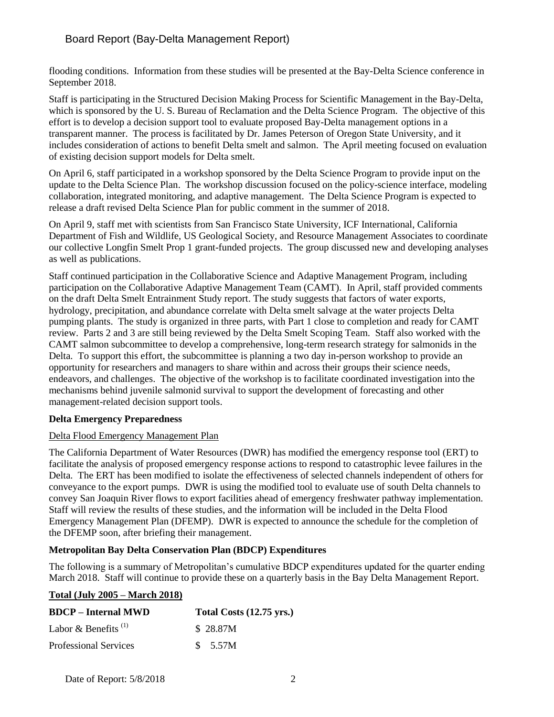# Board Report (Bay-Delta Management Report)

flooding conditions. Information from these studies will be presented at the Bay-Delta Science conference in September 2018.

Staff is participating in the Structured Decision Making Process for Scientific Management in the Bay-Delta, which is sponsored by the U.S. Bureau of Reclamation and the Delta Science Program. The objective of this effort is to develop a decision support tool to evaluate proposed Bay-Delta management options in a transparent manner. The process is facilitated by Dr. James Peterson of Oregon State University, and it includes consideration of actions to benefit Delta smelt and salmon. The April meeting focused on evaluation of existing decision support models for Delta smelt.

On April 6, staff participated in a workshop sponsored by the Delta Science Program to provide input on the update to the Delta Science Plan. The workshop discussion focused on the policy-science interface, modeling collaboration, integrated monitoring, and adaptive management. The Delta Science Program is expected to release a draft revised Delta Science Plan for public comment in the summer of 2018.

On April 9, staff met with scientists from San Francisco State University, ICF International, California Department of Fish and Wildlife, US Geological Society, and Resource Management Associates to coordinate our collective Longfin Smelt Prop 1 grant-funded projects. The group discussed new and developing analyses as well as publications.

Staff continued participation in the Collaborative Science and Adaptive Management Program, including participation on the Collaborative Adaptive Management Team (CAMT). In April, staff provided comments on the draft Delta Smelt Entrainment Study report. The study suggests that factors of water exports, hydrology, precipitation, and abundance correlate with Delta smelt salvage at the water projects Delta pumping plants. The study is organized in three parts, with Part 1 close to completion and ready for CAMT review. Parts 2 and 3 are still being reviewed by the Delta Smelt Scoping Team. Staff also worked with the CAMT salmon subcommittee to develop a comprehensive, long-term research strategy for salmonids in the Delta. To support this effort, the subcommittee is planning a two day in-person workshop to provide an opportunity for researchers and managers to share within and across their groups their science needs, endeavors, and challenges. The objective of the workshop is to facilitate coordinated investigation into the mechanisms behind juvenile salmonid survival to support the development of forecasting and other management-related decision support tools.

## **Delta Emergency Preparedness**

## Delta Flood Emergency Management Plan

The California Department of Water Resources (DWR) has modified the emergency response tool (ERT) to facilitate the analysis of proposed emergency response actions to respond to catastrophic levee failures in the Delta. The ERT has been modified to isolate the effectiveness of selected channels independent of others for conveyance to the export pumps. DWR is using the modified tool to evaluate use of south Delta channels to convey San Joaquin River flows to export facilities ahead of emergency freshwater pathway implementation. Staff will review the results of these studies, and the information will be included in the Delta Flood Emergency Management Plan (DFEMP). DWR is expected to announce the schedule for the completion of the DFEMP soon, after briefing their management.

## **Metropolitan Bay Delta Conservation Plan (BDCP) Expenditures**

The following is a summary of Metropolitan's cumulative BDCP expenditures updated for the quarter ending March 2018. Staff will continue to provide these on a quarterly basis in the Bay Delta Management Report.

## **Total (July 2005 – March 2018)**

| <b>BDCP</b> – Internal MWD      | Total Costs (12.75 yrs.) |
|---------------------------------|--------------------------|
| Labor & Benefits <sup>(1)</sup> | \$28.87M                 |
| <b>Professional Services</b>    | \$ 5.57M                 |